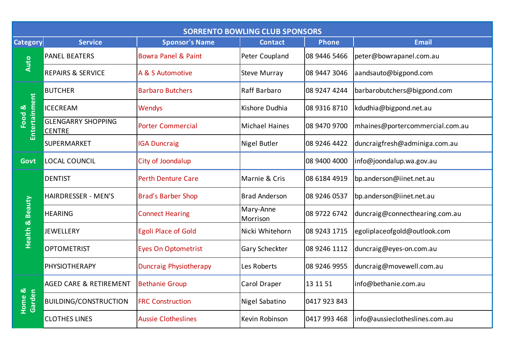| <b>SORRENTO BOWLING CLUB SPONSORS</b> |                                            |                                |                       |              |                                 |  |  |  |
|---------------------------------------|--------------------------------------------|--------------------------------|-----------------------|--------------|---------------------------------|--|--|--|
| <b>Category</b>                       | <b>Service</b>                             | <b>Sponsor's Name</b>          | <b>Contact</b>        | <b>Phone</b> | <b>Email</b>                    |  |  |  |
| Auto                                  | <b>PANEL BEATERS</b>                       | <b>Bowra Panel &amp; Paint</b> | Peter Coupland        | 08 9446 5466 | peter@bowrapanel.com.au         |  |  |  |
|                                       | <b>REPAIRS &amp; SERVICE</b>               | A & S Automotive               | <b>Steve Murray</b>   | 08 9447 3046 | aandsauto@bigpond.com           |  |  |  |
| Entertainment<br>Food &               | <b>BUTCHER</b>                             | <b>Barbaro Butchers</b>        | Raff Barbaro          | 08 9247 4244 | barbarobutchers@bigpond.com     |  |  |  |
|                                       | <b>ICECREAM</b>                            | <b>Wendys</b>                  | Kishore Dudhia        | 08 9316 8710 | kdudhia@bigpond.net.au          |  |  |  |
|                                       | <b>GLENGARRY SHOPPING</b><br><b>CENTRE</b> | <b>Porter Commercial</b>       | <b>Michael Haines</b> | 08 9470 9700 | mhaines@portercommercial.com.au |  |  |  |
|                                       | SUPERMARKET                                | <b>IGA Duncraig</b>            | <b>Nigel Butler</b>   | 08 9246 4422 | duncraigfresh@adminiga.com.au   |  |  |  |
| <b>Govt</b>                           | <b>LOCAL COUNCIL</b>                       | City of Joondalup              |                       | 08 9400 4000 | info@joondalup.wa.gov.au        |  |  |  |
| <b>Health &amp; Beauty</b>            | <b>DENTIST</b>                             | <b>Perth Denture Care</b>      | Marnie & Cris         | 08 6184 4919 | bp.anderson@iinet.net.au        |  |  |  |
|                                       | <b>HAIRDRESSER - MEN'S</b>                 | <b>Brad's Barber Shop</b>      | <b>Brad Anderson</b>  | 08 9246 0537 | bp.anderson@iinet.net.au        |  |  |  |
|                                       | <b>HEARING</b>                             | <b>Connect Hearing</b>         | Mary-Anne<br>Morrison | 08 9722 6742 | duncraig@connecthearing.com.au  |  |  |  |
|                                       | <b>JEWELLERY</b>                           | <b>Egoli Place of Gold</b>     | Nicki Whitehorn       | 08 9243 1715 | egoliplaceofgold@outlook.com    |  |  |  |
|                                       | <b>OPTOMETRIST</b>                         | <b>Eyes On Optometrist</b>     | <b>Gary Scheckter</b> | 08 9246 1112 | duncraig@eyes-on.com.au         |  |  |  |
|                                       | PHYSIOTHERAPY                              | <b>Duncraig Physiotherapy</b>  | Les Roberts           | 08 9246 9955 | duncraig@movewell.com.au        |  |  |  |
| Home &<br>Garden                      | <b>AGED CARE &amp; RETIREMENT</b>          | <b>Bethanie Group</b>          | Carol Draper          | 13 11 51     | info@bethanie.com.au            |  |  |  |
|                                       | <b>BUILDING/CONSTRUCTION</b>               | <b>FRC Construction</b>        | Nigel Sabatino        | 0417 923 843 |                                 |  |  |  |
|                                       | <b>CLOTHES LINES</b>                       | <b>Aussie Clotheslines</b>     | Kevin Robinson        | 0417 993 468 | info@aussieclotheslines.com.au  |  |  |  |